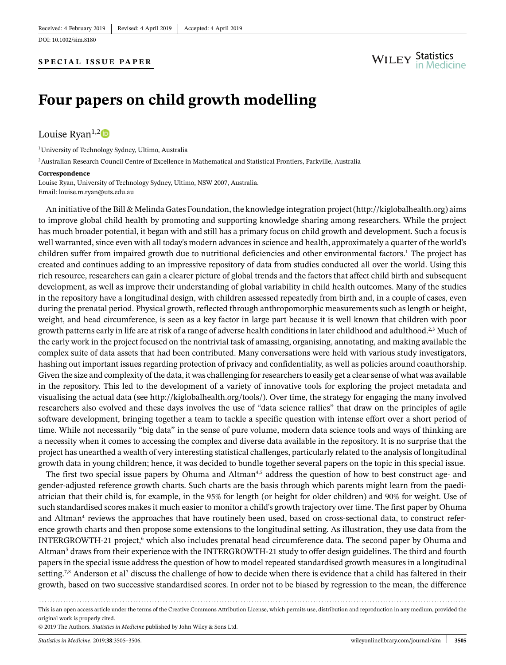DOI: [10.1002/sim.8180](https://doi.org/10.1002/sim.8180)

# **Four papers on child growth modelling**

### Louise Ryan<sup>1,[2](https://orcid.org/0000-0001-5957-2490)</sup>

1University of Technology Sydney, Ultimo, Australia 2Australian Research Council Centre of Excellence in Mathematical and Statistical Frontiers, Parkville, Australia

#### **Correspondence**

Louise Ryan, University of Technology Sydney, Ultimo, NSW 2007, Australia. Email: louise.m.ryan@uts.edu.au

An initiative of the Bill & Melinda Gates Foundation, the knowledge integration project [\(http://kiglobalhealth.org\)](http://kiglobalhealth.org) aims to improve global child health by promoting and supporting knowledge sharing among researchers. While the project has much broader potential, it began with and still has a primary focus on child growth and development. Such a focus is well warranted, since even with all today's modern advances in science and health, approximately a quarter of the world's children suffer from impaired growth due to nutritional deficiencies and other environmental factors[.1](#page-1-0) The project has created and continues adding to an impressive repository of data from studies conducted all over the world. Using this rich resource, researchers can gain a clearer picture of global trends and the factors that affect child birth and subsequent development, as well as improve their understanding of global variability in child health outcomes. Many of the studies in the repository have a longitudinal design, with children assessed repeatedly from birth and, in a couple of cases, even during the prenatal period. Physical growth, reflected through anthropomorphic measurements such as length or height, weight, and head circumference, is seen as a key factor in large part because it is well known that children with poor growth patterns early in life are at risk of a range of adverse health conditions in later childhood and adulthood.<sup>2[,3](#page-1-2)</sup> Much of the early work in the project focused on the nontrivial task of amassing, organising, annotating, and making available the complex suite of data assets that had been contributed. Many conversations were held with various study investigators, hashing out important issues regarding protection of privacy and confidentiality, as well as policies around coauthorship. Given the size and complexity of the data, it was challenging for researchers to easily get a clear sense of what was available in the repository. This led to the development of a variety of innovative tools for exploring the project metadata and visualising the actual data (see [http://kiglobalhealth.org/tools/\)](http://kiglobalhealth.org/tools/). Over time, the strategy for engaging the many involved researchers also evolved and these days involves the use of "data science rallies" that draw on the principles of agile software development, bringing together a team to tackle a specific question with intense effort over a short period of time. While not necessarily "big data" in the sense of pure volume, modern data science tools and ways of thinking are a necessity when it comes to accessing the complex and diverse data available in the repository. It is no surprise that the project has unearthed a wealth of very interesting statistical challenges, particularly related to the analysis of longitudinal growth data in young children; hence, it was decided to bundle together several papers on the topic in this special issue.

The first two special issue papers by Ohuma and Altman<sup>4[,5](#page-1-4)</sup> address the question of how to best construct age- and gender-adjusted reference growth charts. Such charts are the basis through which parents might learn from the paediatrician that their child is, for example, in the 95% for length (or height for older children) and 90% for weight. Use of such standardised scores makes it much easier to monitor a child's growth trajectory over time. The first paper by Ohuma and Altman<sup>4</sup> reviews the approaches that have routinely been used, based on cross-sectional data, to construct reference growth charts and then propose some extensions to the longitudinal setting. As illustration, they use data from the INTERGROWTH-21 project,<sup>6</sup> which also includes prenatal head circumference data. The second paper by Ohuma and Altman<sup>5</sup> draws from their experience with the INTERGROWTH-21 study to offer design guidelines. The third and fourth papers in the special issue address the question of how to model repeated standardised growth measures in a longitudinal setting.<sup>7[,8](#page-1-7)</sup> Anderson et al<sup>7</sup> discuss the challenge of how to decide when there is evidence that a child has faltered in their growth, based on two successive standardised scores. In order not to be biased by regression to the mean, the difference

*........................................... ............................................ ........................................ ................................* This is an open access article under the terms of the [Creative Commons Attribution](http://creativecommons.org/licenses/by/4.0/) License, which permits use, distribution and reproduction in any medium, provided the original work is properly cited.

© 2019 The Authors. *Statistics in Medicine* published by John Wiley & Sons Ltd.